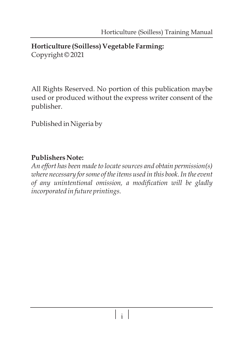### **Horticulture (Soilless) Vegetable Farming:**  Copyright © 2021

All Rights Reserved. No portion of this publication maybe used or produced without the express writer consent of the publisher.

Published in Nigeria by

## **Publishers Note:**

*An effort has been made to locate sources and obtain permission(s) where necessary for some of the items used in this book. In the event of any unintentional omission, a modification will be gladly incorporated in future printings.*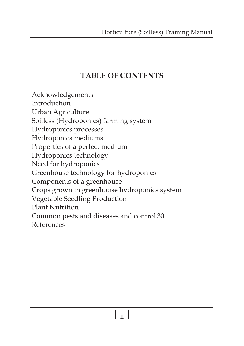# **TABLE OF CONTENTS**

Acknowledgements Introduction Urban Agriculture Soilless (Hydroponics) farming system Hydroponics processes Hydroponics mediums Properties of a perfect medium Hydroponics technology Need for hydroponics Greenhouse technology for hydroponics Components of a greenhouse Crops grown in greenhouse hydroponics system Vegetable Seedling Production Plant Nutrition Common pests and diseases and control 30 References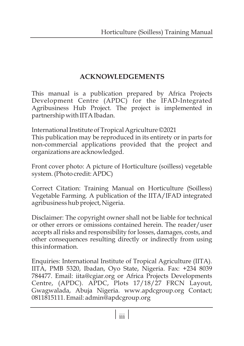## **ACKNOWLEDGEMENTS**

This manual is a publication prepared by Africa Projects Development Centre (APDC) for the IFAD-Integrated Agribusiness Hub Project. The project is implemented in partnership with IITA Ibadan.

International Institute of Tropical Agriculture ©2021

This publication may be reproduced in its entirety or in parts for non-commercial applications provided that the project and organizations are acknowledged.

Front cover photo: A picture of Horticulture (soilless) vegetable system. (Photo credit: APDC)

Correct Citation: Training Manual on Horticulture (Soilless) Vegetable Farming. A publication of the IITA/IFAD integrated agribusiness hub project, Nigeria.

Disclaimer: The copyright owner shall not be liable for technical or other errors or omissions contained herein. The reader/user accepts all risks and responsibility for losses, damages, costs, and other consequences resulting directly or indirectly from using this information.

Enquiries: International Institute of Tropical Agriculture (IITA). IITA, PMB 5320, Ibadan, Oyo State, Nigeria. Fax: +234 8039 784477. Email: iita@cgiar.org or Africa Projects Developments Centre, (APDC). APDC, Plots 17/18/27 FRCN Layout, Gwagwalada, Abuja Nigeria. www.apdcgroup.org Contact; 0811815111. Email: admin@apdcgroup.org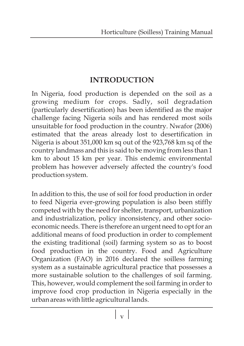# **INTRODUCTION**

In Nigeria, food production is depended on the soil as a growing medium for crops. Sadly, soil degradation (particularly desertification) has been identified as the major challenge facing Nigeria soils and has rendered most soils unsuitable for food production in the country. Nwafor (2006) estimated that the areas already lost to desertification in Nigeria is about 351,000 km sq out of the 923,768 km sq of the country landmass and this is said to be moving from less than 1 km to about 15 km per year. This endemic environmental problem has however adversely affected the country's food production system.

In addition to this, the use of soil for food production in order to feed Nigeria ever-growing population is also been stiffly competed with by the need for shelter, transport, urbanization and industrialization, policy inconsistency, and other socioeconomic needs. There is therefore an urgent need to opt for an additional means of food production in order to complement the existing traditional (soil) farming system so as to boost food production in the country. Food and Agriculture Organization (FAO) in 2016 declared the soilless farming system as a sustainable agricultural practice that possesses a more sustainable solution to the challenges of soil farming. This, however, would complement the soil farming in order to improve food crop production in Nigeria especially in the urban areas with little agricultural lands.

v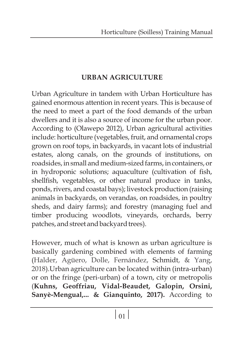# **URBAN AGRICULTURE**

Urban Agriculture in tandem with Urban Horticulture has gained enormous attention in recent years. This is because of the need to meet a part of the food demands of the urban dwellers and it is also a source of income for the urban poor. According to (Olawepo 2012), Urban agricultural activities include: horticulture (vegetables, fruit, and ornamental crops grown on roof tops, in backyards, in vacant lots of industrial estates, along canals, on the grounds of institutions, on roadsides, in small and medium-sized farms, in containers, or in hydroponic solutions; aquaculture (cultivation of fish, shellfish, vegetables, or other natural produce in tanks, ponds, rivers, and coastal bays); livestock production (raising animals in backyards, on verandas, on roadsides, in poultry sheds, and dairy farms); and forestry (managing fuel and timber producing woodlots, vineyards, orchards, berry patches, and street and backyard trees).

However, much of what is known as urban agriculture is basically gardening combined with elements of farming (Halder, Agüero, Dolle, Fernández, Schmidt, & Yang, ).Urban agriculture can be located within (intra-urban) 2018 or on the fringe (peri-urban) of a town, city or metropolis (**Kuhns, Geoffriau, Vidal-Beaudet, Galopin, Orsini, Sanyè-Mengual,... & Gianquinto, 2017).** According to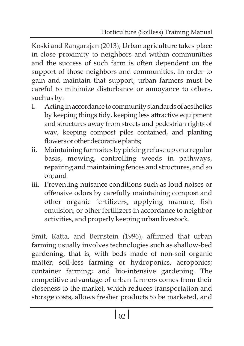Koski and Rangarajan (2013), Urban agriculture takes place in close proximity to neighbors and within communities and the success of such farm is often dependent on the support of those neighbors and communities. In order to gain and maintain that support, urban farmers must be careful to minimize disturbance or annoyance to others, such as by:

- I. Acting in accordance to community standards of aesthetics by keeping things tidy, keeping less attractive equipment and structures away from streets and pedestrian rights of way, keeping compost piles contained, and planting flowers or other decorative plants;
- ii. Maintaining farm sites by picking refuse up on a regular basis, mowing, controlling weeds in pathways, repairing and maintaining fences and structures, and so on; and
- iii. Preventing nuisance conditions such as loud noises or offensive odors by carefully maintaining compost and other organic fertilizers, applying manure, fish emulsion, or other fertilizers in accordance to neighbor activities, and properly keeping urban livestock.

Smit, Ratta, and Bernstein (1996), affirmed that urban farming usually involves technologies such as shallow-bed gardening, that is, with beds made of non-soil organic matter; soil-less farming or hydroponics, aeroponics; container farming; and bio-intensive gardening. The competitive advantage of urban farmers comes from their closeness to the market, which reduces transportation and storage costs, allows fresher products to be marketed, and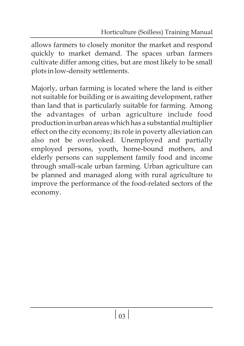allows farmers to closely monitor the market and respond quickly to market demand. The spaces urban farmers cultivate differ among cities, but are most likely to be small plots in low-density settlements.

Majorly, urban farming is located where the land is either not suitable for building or is awaiting development, rather than land that is particularly suitable for farming. Among the advantages of urban agriculture include food production in urban areas which has a substantial multiplier effect on the city economy; its role in poverty alleviation can also not be overlooked. Unemployed and partially employed persons, youth, home-bound mothers, and elderly persons can supplement family food and income through small-scale urban farming. Urban agriculture can be planned and managed along with rural agriculture to improve the performance of the food-related sectors of the economy.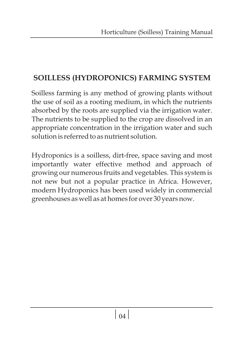# **SOILLESS (HYDROPONICS) FARMING SYSTEM**

Soilless farming is any method of growing plants without the use of soil as a rooting medium, in which the nutrients absorbed by the roots are supplied via the irrigation water. The nutrients to be supplied to the crop are dissolved in an appropriate concentration in the irrigation water and such solution is referred to as nutrient solution.

Hydroponics is a soilless, dirt-free, space saving and most importantly water effective method and approach of growing our numerous fruits and vegetables. This system is not new but not a popular practice in Africa. However, modern Hydroponics has been used widely in commercial greenhouses as well as at homes for over 30 years now.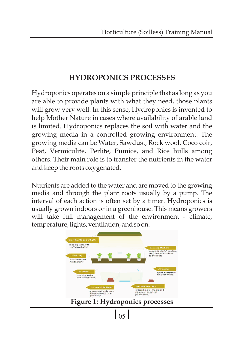# **HYDROPONICS PROCESSES**

Hydroponics operates on a simple principle that as long as you are able to provide plants with what they need, those plants will grow very well. In this sense, Hydroponics is invented to help Mother Nature in cases where availability of arable land is limited. Hydroponics replaces the soil with water and the growing media in a controlled growing environment. The growing media can be Water, Sawdust, Rock wool, Coco coir, Peat, Vermiculite, Perlite, Pumice, and Rice hulls among others. Their main role is to transfer the nutrients in the water and keep the roots oxygenated.

Nutrients are added to the water and are moved to the growing media and through the plant roots usually by a pump. The interval of each action is often set by a timer. Hydroponics is usually grown indoors or in a greenhouse. This means growers will take full management of the environment - climate, temperature, lights, ventilation, and so on.

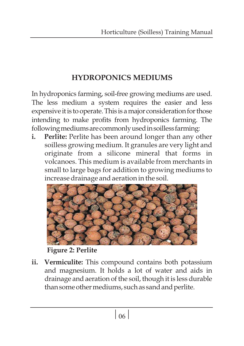# **HYDROPONICS MEDIUMS**

In hydroponics farming, soil-free growing mediums are used. The less medium a system requires the easier and less expensive it is to operate. This is a major consideration for those intending to make profits from hydroponics farming. The following mediums are commonly used in soilless farming:

**i. Perlite:** Perlite has been around longer than any other soilless growing medium. It granules are very light and originate from a silicone mineral that forms in volcanoes. This medium is available from merchants in small to large bags for addition to growing mediums to increase drainage and aeration in the soil.



**Figure 2: Perlite**

**ii. Vermiculite:** This compound contains both potassium and magnesium. It holds a lot of water and aids in drainage and aeration of the soil, though it is less durable than some other mediums, such as sand and perlite.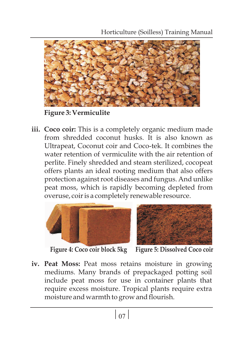

**Figure 3: Vermiculite**

**iii. Coco coir:** This is a completely organic medium made from shredded coconut husks. It is also known as Ultrapeat, Coconut coir and Coco-tek. It combines the water retention of vermiculite with the air retention of perlite. Finely shredded and steam sterilized, cocopeat offers plants an ideal rooting medium that also offers protection against root diseases and fungus. And unlike peat moss, which is rapidly becoming depleted from overuse, coir is a completely renewable resource.





**Figure 4: Coco coir block 5kg Figure 5: Dissolved Coco coir**

**iv. Peat Moss:** Peat moss retains moisture in growing mediums. Many brands of prepackaged potting soil include peat moss for use in container plants that require excess moisture. Tropical plants require extra moisture and warmth to grow and flourish.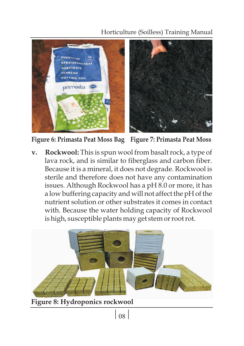## Horticulture (Soilless) Training Manual



**Figure 6: Primasta Peat Moss Bag Figure 7: Primasta Peat Moss**

**v. Rockwool:** This is spun wool from basalt rock, a type of lava rock, and is similar to fiberglass and carbon fiber. Because it is a mineral, it does not degrade. Rockwool is sterile and therefore does not have any contamination issues. Although Rockwool has a pH 8.0 or more, it has a low buffering capacity and will not affect the pH of the nutrient solution or other substrates it comes in contact with. Because the water holding capacity of Rockwool is high, susceptible plants may get stem or root rot.



**Figure 8: Hydroponics rockwool**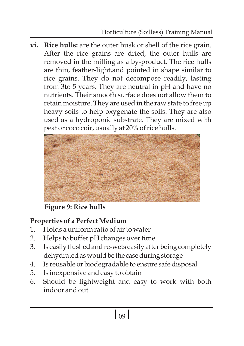**vi. Rice hulls:** are the outer husk or shell of the rice grain. After the rice grains are dried, the outer hulls are removed in the milling as a by-product. The rice hulls are thin, feather-light,and pointed in shape similar to rice grains. They do not decompose readily, lasting from 3to 5 years. They are neutral in pH and have no nutrients. Their smooth surface does not allow them to retain moisture. They are used in the raw state to free up heavy soils to help oxygenate the soils. They are also used as a hydroponic substrate. They are mixed with peat or coco coir, usually at 20% of rice hulls.



**Figure 9: Rice hulls**

# **Properties of a Perfect Medium**

- 1. Holds a uniform ratio of air to water
- 2. Helps to buffer pH changes over time
- 3. Is easily flushed and re-wets easily after being completely dehydrated as would be the case during storage
- 4. Is reusable or biodegradable to ensure safe disposal
- 5. Is inexpensive and easy to obtain
- 6. Should be lightweight and easy to work with both indoor and out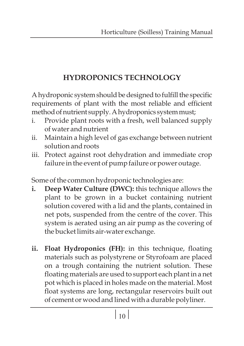# **HYDROPONICS TECHNOLOGY**

A hydroponic system should be designed to fulfill the specific requirements of plant with the most reliable and efficient method of nutrient supply. A hydroponics system must;

- i. Provide plant roots with a fresh, well balanced supply of water and nutrient
- ii. Maintain a high level of gas exchange between nutrient solution and roots
- iii. Protect against root dehydration and immediate crop failure in the event of pump failure or power outage.

Some of the common hydroponic technologies are:

- **i. Deep Water Culture (DWC):** this technique allows the plant to be grown in a bucket containing nutrient solution covered with a lid and the plants, contained in net pots, suspended from the centre of the cover. This system is aerated using an air pump as the covering of the bucket limits air-water exchange.
- **ii. Float Hydroponics (FH):** in this technique, floating materials such as polystyrene or Styrofoam are placed on a trough containing the nutrient solution. These floating materials are used to support each plant in a net pot which is placed in holes made on the material. Most float systems are long, rectangular reservoirs built out of cement or wood and lined with a durable polyliner.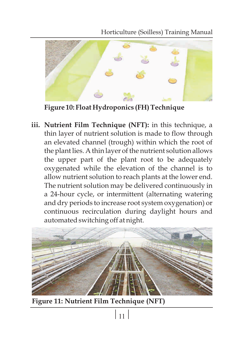Horticulture (Soilless) Training Manual



**Figure 10: Float Hydroponics (FH) Technique**

**iii. Nutrient Film Technique (NFT):** in this technique, a thin layer of nutrient solution is made to flow through an elevated channel (trough) within which the root of the plant lies. A thin layer of the nutrient solution allows the upper part of the plant root to be adequately oxygenated while the elevation of the channel is to allow nutrient solution to reach plants at the lower end. The nutrient solution may be delivered continuously in a 24-hour cycle, or intermittent (alternating watering and dry periods to increase root system oxygenation) or continuous recirculation during daylight hours and automated switching off at night.



**Figure 11: Nutrient Film Technique (NFT)**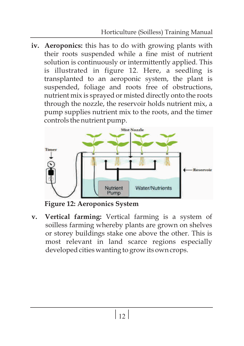**iv. Aeroponics:** this has to do with growing plants with their roots suspended while a fine mist of nutrient solution is continuously or intermittently applied. This is illustrated in figure 12. Here, a seedling is transplanted to an aeroponic system, the plant is suspended, foliage and roots free of obstructions, nutrient mix is sprayed or misted directly onto the roots through the nozzle, the reservoir holds nutrient mix, a pump supplies nutrient mix to the roots, and the timer controls the nutrient pump.



**Figure 12: Aeroponics System**

**v. Vertical farming:** Vertical farming is a system of soilless farming whereby plants are grown on shelves or storey buildings stake one above the other. This is most relevant in land scarce regions especially developed cities wanting to grow its own crops.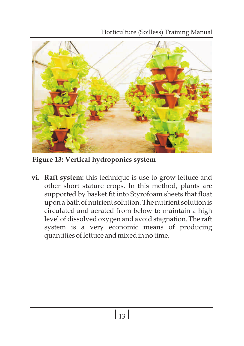Horticulture (Soilless) Training Manual



**Figure 13: Vertical hydroponics system**

**vi. Raft system:** this technique is use to grow lettuce and other short stature crops. In this method, plants are supported by basket fit into Styrofoam sheets that float upon a bath of nutrient solution. The nutrient solution is circulated and aerated from below to maintain a high level of dissolved oxygen and avoid stagnation. The raft system is a very economic means of producing quantities of lettuce and mixed in no time.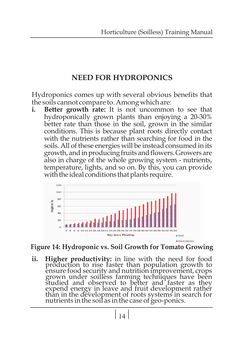# **NEED FOR HYDROPONICS**

Hydroponics comes up with several obvious benefits that the soils cannot compare to. Among which are:<br>i. Better growth rate: It is not uncommon

**i. Better growth rate:** It is not uncommon to see that hydroponically grown plants than enjoying a 20-30% better rate than those in the soil, grown in the similar conditions. This is because plant roots directly contact with the nutrients rather than searching for food in the soils. All of these energies will be instead consumed in its growth, and in producing fruits and flowers. Growers are also in charge of the whole growing system - nutrients, temperature, lights, and so on. By this, you can provide with the ideal conditions that plants require.



### **Figure 14: Hydroponic vs. Soil Growth for Tomato Growing**

**ii. Higher productivity:** in line with the need for food production to rise faster than population growth to ensure food security and nutrition improvement, crops grown under soilless farming techniques have been studied and observed to better and faster as they expend energy in leave and fruit development rather than in the development of roots systems in search for nutrients in the soil as in the case of geo-ponics.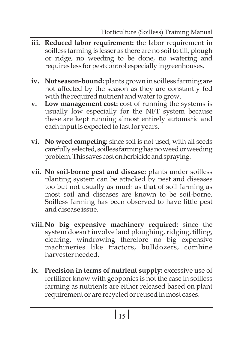- **iii. Reduced labor requirement:** the labor requirement in soilless farming is lesser as there are no soil to till, plough or ridge, no weeding to be done, no watering and requires less for pest control especially in greenhouses.
- **iv. Not season-bound:** plants grown in soilless farming are not affected by the season as they are constantly fed with the required nutrient and water to grow.
- **v. Low management cost:** cost of running the systems is usually low especially for the NFT system because these are kept running almost entirely automatic and each input is expected to last for years.
- **vi. No weed competing:** since soil is not used, with all seeds carefully selected, soilless farming has no weed or weeding problem. This saves cost on herbicide and spraying.
- **vii. No soil-borne pest and disease:** plants under soilless planting system can be attacked by pest and diseases too but not usually as much as that of soil farming as most soil and diseases are known to be soil-borne. Soilless farming has been observed to have little pest and disease issue.
- **viii.No big expensive machinery required:** since the system doesn't involve land ploughing, ridging, tilling, clearing, windrowing therefore no big expensive machineries like tractors, bulldozers, combine harvester needed.
- **ix. Precision in terms of nutrient supply:** excessive use of fertilizer know with geoponics is not the case in soilless farming as nutrients are either released based on plant requirement or are recycled or reused in most cases.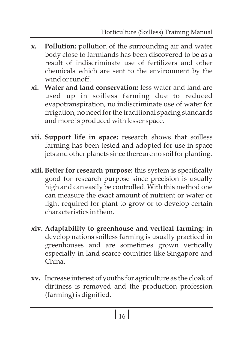- **x. Pollution:** pollution of the surrounding air and water body close to farmlands has been discovered to be as a result of indiscriminate use of fertilizers and other chemicals which are sent to the environment by the wind or runoff.
- **xi. Water and land conservation:** less water and land are used up in soilless farming due to reduced evapotranspiration, no indiscriminate use of water for irrigation, no need for the traditional spacing standards and more is produced with lesser space.
- **xii. Support life in space:** research shows that soilless farming has been tested and adopted for use in space jets and other planets since there are no soil for planting.
- **xiii. Better for research purpose:** this system is specifically good for research purpose since precision is usually high and can easily be controlled. With this method one can measure the exact amount of nutrient or water or light required for plant to grow or to develop certain characteristics in them.
- **xiv. Adaptability to greenhouse and vertical farming:** in develop nations soilless farming is usually practiced in greenhouses and are sometimes grown vertically especially in land scarce countries like Singapore and China.
- **xv.** Increase interest of youths for agriculture as the cloak of dirtiness is removed and the production profession (farming) is dignified.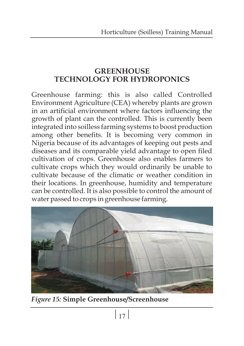## **GREENHOUSE TECHNOLOGY FOR HYDROPONICS**

Greenhouse farming: this is also called Controlled Environment Agriculture (CEA) whereby plants are grown in an artificial environment where factors influencing the growth of plant can the controlled. This is currently been integrated into soilless farming systems to boost production among other benefits. It is becoming very common in Nigeria because of its advantages of keeping out pests and diseases and its comparable yield advantage to open filed cultivation of crops. Greenhouse also enables farmers to cultivate crops which they would ordinarily be unable to cultivate because of the climatic or weather condition in their locations. In greenhouse, humidity and temperature can be controlled. It is also possible to control the amount of water passed to crops in greenhouse farming.



*Figure 15:* **Simple Greenhouse/Screenhouse**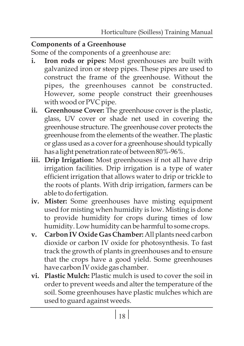## **Components of a Greenhouse**

Some of the components of a greenhouse are:

- **i. Iron rods or pipes:** Most greenhouses are built with galvanized iron or steep pipes. These pipes are used to construct the frame of the greenhouse. Without the pipes, the greenhouses cannot be constructed. However, some people construct their greenhouses with wood or PVC pipe.
- **ii. Greenhouse Cover:** The greenhouse cover is the plastic, glass, UV cover or shade net used in covering the greenhouse structure. The greenhouse cover protects the greenhouse from the elements of the weather. The plastic or glass used as a coverfor a greenhouse should typically has a light penetration rate of between 80%-96%.
- **iii. Drip Irrigation:** Most greenhouses if not all have drip irrigation facilities. Drip irrigation is a type of water efficient irrigation that allows water to drip or trickle to the roots of plants. With drip irrigation, farmers can be able to do fertigation.
- **iv. Mister:** Some greenhouses have misting equipment used for misting when humidity is low. Misting is done to provide humidity for crops during times of low humidity. Low humidity can be harmful to some crops.
- **v. Carbon IV Oxide Gas Chamber:** All plants need carbon dioxide or carbon IV oxide for photosynthesis. To fast track the growth of plants in greenhouses and to ensure that the crops have a good yield. Some greenhouses have carbon IV oxide gas chamber.
- **vi. Plastic Mulch:** Plastic mulch is used to cover the soil in order to prevent weeds and alter the temperature of the soil. Some greenhouses have plastic mulches which are used to guard against weeds.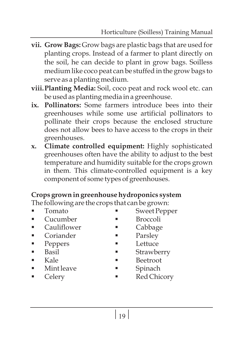- **vii. Grow Bags:** Grow bags are plastic bags that are used for planting crops. Instead of a farmer to plant directly on the soil, he can decide to plant in grow bags. Soilless medium like coco peat can be stuffed in the grow bags to serve as a planting medium.
- **viii.Planting Media:** Soil, coco peat and rock wool etc. can be used as planting media in a greenhouse.
- **ix. Pollinators:** Some farmers introduce bees into their greenhouses while some use artificial pollinators to pollinate their crops because the enclosed structure does not allow bees to have access to the crops in their greenhouses.
- **x. Climate controlled equipment:** Highly sophisticated greenhouses often have the ability to adjust to the best temperature and humidity suitable for the crops grown in them. This climate-controlled equipment is a key component of some types of greenhouses.

# **Crops grown in greenhouse hydroponics system**

The following are the crops that can be grown:<br>■ Sweet Penr

- 
- 
- §Cucumber §Broccoli §Cauliflower §Cabbage
- Coriander Parsley<br>■ Peppers Lettuce
- 
- 
- 
- Kale Beetroot<br>■ Mint leave Spinach
- 
- §Tomato §Sweet Pepper
	-
	-
	-
- Peppers Lettuce<br>■ Basil Strawb
- §Basil §Strawberry
	-
	-
- §Mint leave §Spinach Celery Red Chicory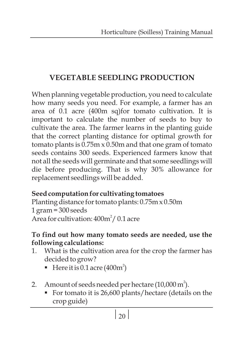# **VEGETABLE SEEDLING PRODUCTION**

When planning vegetable production, you need to calculate how many seeds you need. For example, a farmer has an area of 0.1 acre (400m sq)for tomato cultivation. It is important to calculate the number of seeds to buy to cultivate the area. The farmer learns in the planting guide that the correct planting distance for optimal growth for tomato plants is 0.75m x 0.50m and that one gram of tomato seeds contains 300 seeds. Experienced farmers know that not all the seeds will germinate and that some seedlings will die before producing. That is why 30% allowance for replacement seedlings will be added.

## **Seed computation for cultivating tomatoes**

Planting distance for tomato plants: 0.75m x 0.50m 1 gram = 300 seeds Area for cultivation:  $400<sup>m²</sup>/0.1$  acre

## **To find out how many tomato seeds are needed, use the following calculations:**

- 1. What is the cultivation area for the crop the farmer has decided to grow?
	- Exercit is 0.1 acre (400 $m<sup>2</sup>$ )
- 2. Amount of seeds needed per hectare (10,000  $m^2$ 
	- Amount of seeds needed per hectare (10,000 m´).<br>■ For tomato it is 26,600 plants/hectare (details on the crop guide)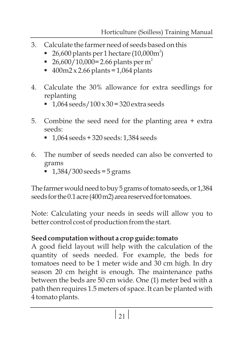- 3. Calculate the farmer need of seeds based on this
	- 26,600 plants per 1 hectare  $(10,000\text{m}^2)$
	- 26,600/10,000 = 2.66 plants per m<sup>2</sup>
	- §26,600/10,000= 2.66 plants per m 400m2 x 2.66 plants = 1,064 plants
- 4. Calculate the 30% allowance for extra seedlings for
	- §replanting 1,064 seeds/100 x 30 = 320 extra seeds
- 5. Combine the seed need for the planting area + extra
	- §seeds: 1,064 seeds + 320 seeds: 1,384 seeds
- 6. The number of seeds needed can also be converted to
	- §grams 1,384/300 seeds = 5 grams

The farmer would need to buy 5 grams of tomato seeds, or 1,384 seeds for the 0.1 acre (400 m2) area reserved for tomatoes.

Note: Calculating your needs in seeds will allow you to better control cost of production from the start.

# **Seed computation without a crop guide: tomato**

A good field layout will help with the calculation of the quantity of seeds needed. For example, the beds for tomatoes need to be 1 meter wide and 30 cm high. In dry season 20 cm height is enough. The maintenance paths between the beds are 50 cm wide. One (1) meter bed with a path then requires 1.5 meters of space. It can be planted with 4 tomato plants.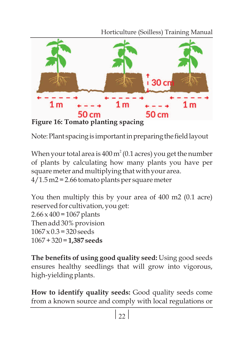Horticulture (Soilless) Training Manual



Note: Plant spacing is important in preparing the field layout

When your total area is  $400\,\mathrm{m}^2$  (0.1 acres) you get the number of plants by calculating how many plants you have per square meter and multiplying that with your area. 4/1.5 m2 = 2.66 tomato plants per square meter

You then multiply this by your area of 400 m2 (0.1 acre) reserved for cultivation, you get:  $2.66 \times 400 = 1067$  plants Then add 30% provision  $1067 \times 0.3 = 320$  seeds 1067 + 320 = **1,387 seeds**

**The benefits of using good quality seed:** Using good seeds ensures healthy seedlings that will grow into vigorous, high-yielding plants.

**How to identify quality seeds:** Good quality seeds come from a known source and comply with local regulations or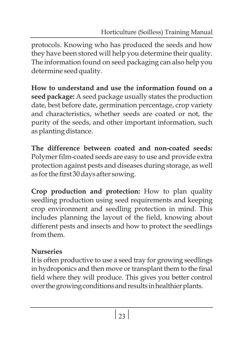protocols. Knowing who has produced the seeds and how they have been stored will help you determine their quality. The information found on seed packaging can also help you determine seed quality.

**How to understand and use the information found on a seed package:** A seed package usually states the production date, best before date, germination percentage, crop variety and characteristics, whether seeds are coated or not, the purity of the seeds, and other important information, such as planting distance.

**The difference between coated and non-coated seeds:** Polymer film-coated seeds are easy to use and provide extra protection against pests and diseases during storage, as well as for the first 30 days after sowing.

**Crop production and protection:** How to plan quality seedling production using seed requirements and keeping crop environment and seedling protection in mind. This includes planning the layout of the field, knowing about different pests and insects and how to protect the seedlings from them.

# **Nurseries**

It is often productive to use a seed tray for growing seedlings in hydroponics and then move or transplant them to the final field where they will produce. This gives you better control over the growing conditions and results in healthier plants.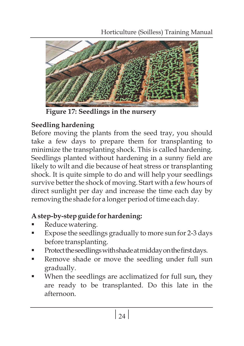

**Figure 17: Seedlings in the nursery**

# **Seedling hardening**

Before moving the plants from the seed tray, you should take a few days to prepare them for transplanting to minimize the transplanting shock. This is called hardening. Seedlings planted without hardening in a sunny field are likely to wilt and die because of heat stress or transplanting shock. It is quite simple to do and will help your seedlings survive better the shock of moving. Start with a few hours of direct sunlight per day and increase the time each day by removing the shade for a longer period of time each day.

# §**A step-by-step guide for hardening:**

- 
- Reduce watering.<br>■ Expose the seedlings gradually to more sun for 2-3 days
- before transplanting.<br>Protect the seedlings with shade at midday on the first days.
- Protecttheseedlings with shade at midday on the first days.<br>■ Remove shade or move the seedling under full sun
- §gradually. When the seedlings are acclimatized for full sun**,** they are ready to be transplanted. Do this late in the afternoon.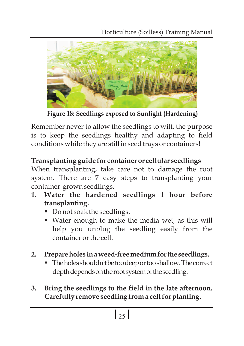Horticulture (Soilless) Training Manual



**Figure 18: Seedlings exposed to Sunlight (Hardening)**

Remember never to allow the seedlings to wilt, the purpose is to keep the seedlings healthy and adapting to field conditions while they are still in seed trays or containers!

# **Transplanting guide for container or cellular seedlings**

When transplanting, take care not to damage the root system. There are 7 easy steps to transplanting your container-grown seedlings.

- **1. Water the hardened seedlings 1 hour before transplanting.**
	- Do not soak the seedlings.
	- Water enough to make the media wet, as this will help you unplug the seedling easily from the container or the cell.
- **2.**
	- §**Prepareholes inaweed-freemediumforthe seedlings.** Theholesshouldn'tbetoodeeportooshallow.Thecorrect depth depends on the root system of the seedling.
- **3. Bring the seedlings to the field in the late afternoon. Carefully remove seedling from a cell for planting.**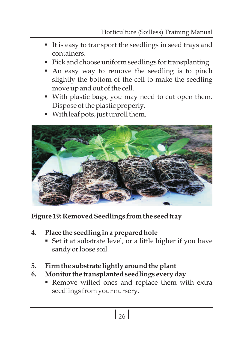- It is easy to transport the seedlings in seed trays and
- containers. ■<br>■ Pick and choose uniform seedlings for transplanting.
- Pick and choose uniform seedlings for transplanting.<br>■ An easy way to remove the seedling is to pinch slightly the bottom of the cell to make the seedling
- §move up and out of the cell. With plastic bags, you may need to cut open them.
- §Dispose of the plastic properly. With leaf pots, just unroll them.



**Figure 19: Removed Seedlings from the seed tray**

- **4.**
	- §**Place the seedling in a prepared hole** Set it at substrate level, or a little higher if you have sandy or loose soil.
- **5. Firm the substrate lightly around the plant**
- **6. Monitor** 
	- **Monitor the transplanted seedlings every day<br>• Remove wilted ones and replace them with extra** seedlings from your nursery.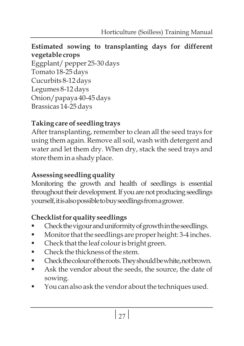## **Estimated sowing to transplanting days for different vegetable crops**

Eggplant/ pepper 25-30 days Tomato 18-25 days Cucurbits 8-12 days Legumes 8-12 days Onion/papaya 40-45 days Brassicas 14-25 days

# **Taking care of seedling trays**

After transplanting, remember to clean all the seed trays for using them again. Remove all soil, wash with detergent and water and let them dry. When dry, stack the seed trays and store them in a shady place.

# **Assessing seedling quality**

Monitoring the growth and health of seedlings is essential throughout their development. If you are not producing seedlings yourself,itisalsopossibletobuyseedlingsfromagrower.

- §**Checklist for quality seedlings**
- Check the vigour and uniformity of growth in the seedlings.<br>■ Monitor that the seedlings are proper height: 3-4 inches ■ Monitor that the seedlings are proper height: 3-4 inches.<br>■ Check that the leaf colour is bright green.
- Check that the leaf colour is bright green.<br>■ Check the thickness of the stem.
- 
- Check the colour of the roots. They should be white, not brown.
- Checkthecolour of the roots. They should be white, not brown.<br>■ Ask the vendor about the seeds, the source, the date of
- §sowing. You can also ask the vendor about the techniques used.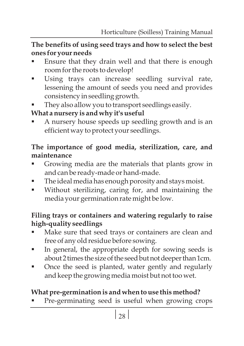## **The benefits of using seed trays and how to select the best**  §**ones for your needs**

- Ensure that they drain well and that there is enough
- §room for the roots to develop! Using trays can increase seedling survival rate, lessening the amount of seeds you need and provides
- §consistency in seedling growth. They also allow you to transport seedlings easily.

§**What a nursery is and why it's useful** A nursery house speeds up seedling growth and is an efficient way to protect your seedlings.

## **The importance of good media, sterilization, care, and maintenance**

- §Growing media are the materials that plants grow in and can be ready-made or hand-made.<br>The ideal media has enough porosity and stays moist.
- 
- The ideal media has enough porosity and stays moist.<br>■ Without sterilizing, caring for, and maintaining the media your germination rate might be low.

# **Filing trays or containers and watering regularly to raise**

- **high-quality** § **seedlings** Make sure that seed trays or containers are clean and
- §free of any old residue before sowing. In general, the appropriate depth for sowing seeds is
- about 2 times the size of the seed but not deeper than 1cm.<br>Once the seed is planted, water gently and regularly and keep the growing media moist but not too wet.

§**What pre-germination is and when to use this method?** Pre-germinating seed is useful when growing crops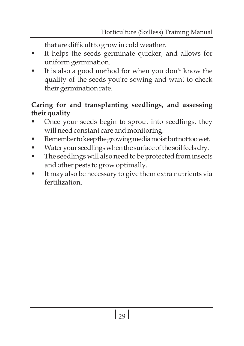- §that are difficult to grow in cold weather. It helps the seeds germinate quicker, and allows for
- §uniform germination. It is also a good method for when you don't know the quality of the seeds you're sowing and want to check their germination rate.

## **Caring for and transplanting seedlings, and assessing**  §**their quality**

- Once your seeds begin to sprout into seedlings, they
- will need constant care and monitoring.<br>Remember to keep the growing media moist but not too wet.
- Water your seedlings when the surface of the soil feels dry.
- Water your seedlings when the surface of the soil feels dry.<br>■ The seedlings will also need to be protected from insects
- §and other pests to grow optimally. It may also be necessary to give them extra nutrients via fertilization.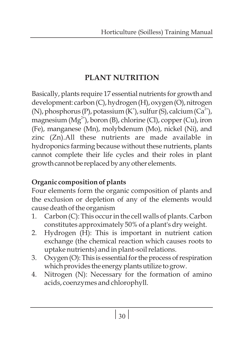# **PLANT NUTRITION**

Basically, plants require 17 essential nutrients for growth and development: carbon(C), hydrogen(H), oxygen(O), nitrogen (N), phosphorus (P), potassium (K<sup>+</sup>), sulfur (S), calcium (Ca<sup>2+</sup>), magnesium ( $Mg^{2+}$ ), boron (B), chlorine (Cl), copper (Cu), iron (Fe), manganese (Mn), molybdenum (Mo), nickel (Ni), and zinc (Zn).All these nutrients are made available in hydroponics farming because without these nutrients, plants cannot complete their life cycles and their roles in plant growth cannot be replaced by any other elements.

# **Organic composition of plants**

Four elements form the organic composition of plants and the exclusion or depletion of any of the elements would cause death of the organism

- 1. Carbon (C): This occur in the cell walls of plants. Carbon constitutes approximately 50% of a plant's dry weight.
- 2. Hydrogen (H): This is important in nutrient cation exchange (the chemical reaction which causes roots to uptake nutrients) and in plant-soil relations.
- 3. Oxygen  $(O)$ : This is essential for the process of respiration which provides the energy plants utilize to grow.
- 4. Nitrogen (N): Necessary for the formation of amino acids, coenzymes and chlorophyll.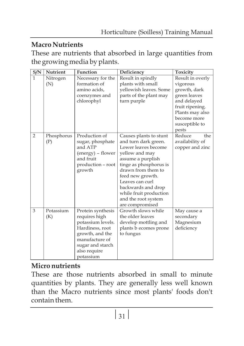# **Macro Nutrients**

These are nutrients that absorbed in large quantities from the growing media by plants.

| S/N          | Nutrient   | <b>Function</b>   | Deficiency             | Toxicity         |
|--------------|------------|-------------------|------------------------|------------------|
| $\mathbf{1}$ | Nitrogen   | Necessary for the | Result in spindly      | Result in overly |
|              | (N)        | formation of      | plants with small      | vigorous         |
|              |            | amino acids,      | yellowish leaves. Some | growth, dark     |
|              |            | coenzymes and     | parts of the plant may | green leaves     |
|              |            | chlorophyl        | turn purple            | and delayed      |
|              |            |                   |                        | fruit ripening.  |
|              |            |                   |                        | Plants may also  |
|              |            |                   |                        | become more      |
|              |            |                   |                        | susceptible to   |
|              |            |                   |                        | pests            |
| 2            | Phosphorus | Production of     | Causes plants to stunt | Reduce<br>the    |
|              | (P)        | sugar, phosphate  | and turn dark green.   | availability of  |
|              |            | and ATP           | Lower leaves become    | copper and zinc  |
|              |            | (energy) - flower | yellow and may         |                  |
|              |            | and fruit         | assume a purplish      |                  |
|              |            | production - root | tinge as phosphorus is |                  |
|              |            | growth            | drawn from them to     |                  |
|              |            |                   | feed new growth.       |                  |
|              |            |                   | Leaves can curl        |                  |
|              |            |                   | backwards and drop     |                  |
|              |            |                   | while fruit production |                  |
|              |            |                   | and the root system    |                  |
|              |            |                   | are compromised        |                  |
| 3            | Potassium  | Protein synthesis | Growth slows while     | May cause a      |
|              | (K)        | requires high     | the older leaves       | secondary        |
|              |            | potassium levels. | develop mottling and   | Magnesium        |
|              |            | Hardiness, root   | plants b ecomes prone  | deficiency       |
|              |            | growth, and the   | to fungus              |                  |
|              |            | manufacture of    |                        |                  |
|              |            | sugar and starch  |                        |                  |
|              |            | also require      |                        |                  |
|              |            | potassium         |                        |                  |

## **Micro nutrients**

These are those nutrients absorbed in small to minute quantities by plants. They are generally less well known than the Macro nutrients since most plants' foods don't contain them.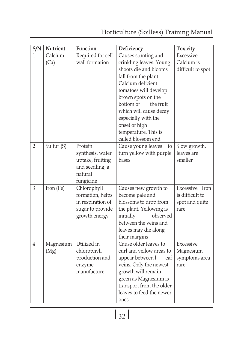| S/N            | <b>Nutrient</b>         | Function          | Deficiency               | <b>Toxicity</b>   |
|----------------|-------------------------|-------------------|--------------------------|-------------------|
|                | Calcium                 | Required for cell | Causes stunting and      | Excessive         |
|                | (Ca)                    | wall formation    | crinkling leaves. Young  | Calcium is        |
|                |                         |                   | shoots die and blooms    | difficult to spot |
|                |                         |                   | fall from the plant.     |                   |
|                |                         |                   | Calcium deficient        |                   |
|                |                         |                   | tomatoes will develop    |                   |
|                |                         |                   | brown spots on the       |                   |
|                |                         |                   | bottom of<br>the fruit   |                   |
|                |                         |                   | which will cause decay   |                   |
|                |                         |                   | especially with the      |                   |
|                |                         |                   | onset of high            |                   |
|                |                         |                   | temperature. This is     |                   |
|                |                         |                   | called blossom end       |                   |
| $\overline{2}$ | Sulfur (S)              | Protein           | Cause young leaves<br>to | Slow growth,      |
|                |                         | synthesis, water  | turn yellow with purple  | leaves are        |
|                |                         | uptake, fruiting  | bases                    | smaller           |
|                |                         | and seedling, a   |                          |                   |
|                |                         | natural           |                          |                   |
|                |                         | fungicide         |                          |                   |
| 3              | Iron (Fe)               | Chlorophyll       | Causes new growth to     | Excessive Iron    |
|                |                         | formation, helps  | become pale and          | is difficult to   |
|                |                         | in respiration of | blossoms to drop from    | spot and quite    |
|                |                         | sugar to provide  | the plant. Yellowing is  | rare              |
|                |                         | growth energy     | observed<br>initially    |                   |
|                |                         |                   | between the veins and    |                   |
|                |                         |                   | leaves may die along     |                   |
|                |                         |                   | their margins            |                   |
| 4              | Magnesium   Utilized in |                   | Cause older leaves to    | Excessive         |

ones

curl and yellow areas to appear between l veins. Only the newest growth will remain green as Magnesium is transport from the older leaves to feed the newer

Magnesium eaf symptoms area rare

 $(Mg)$ 

chlorophyll production and enzyme manufacture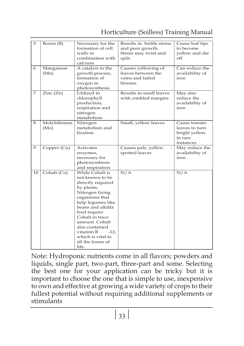|  |  | Horticulture (Soilless) Training Manual |
|--|--|-----------------------------------------|
|--|--|-----------------------------------------|

| 5  | Boron (B)          | Necessary for the<br>formation of cell<br>walls in<br>combination with<br>calcium                                                                                                                                                                                                                    | Results in brittle stems<br>and poor growth.<br>Stems may twist and<br>split. | Cause leaf tips<br>to become<br>vellow and die<br>off                   |
|----|--------------------|------------------------------------------------------------------------------------------------------------------------------------------------------------------------------------------------------------------------------------------------------------------------------------------------------|-------------------------------------------------------------------------------|-------------------------------------------------------------------------|
| 6  | Manganese<br>(Mn)  | A catalyst in the<br>growth process,<br>formation of<br>oxygen in<br>photosynthesis                                                                                                                                                                                                                  | Causes yellowing of<br>leaves between the<br>veins and failed<br>blooms       | Can reduce the<br>availability of<br>iron                               |
| 7  | Zinc (Zn)          | Utilized in<br>chlorophyll<br>production,<br>respiration and<br>nitrogen<br>metabolism                                                                                                                                                                                                               | Results in small leaves<br>with crinkled margins                              | May also<br>reduce the<br>availability of<br>iron                       |
| 8  | Molybdenum<br>(Mo) | Nitrogen<br>metabolism and<br>fixation                                                                                                                                                                                                                                                               | Small, yellow leaves                                                          | Cause tomato<br>leaves to turn<br>bright yellow<br>in rare<br>instances |
| 9  | Copper (Cu)        | Activates<br>enzymes,<br>necessary for<br>photosynthesis<br>and respiration                                                                                                                                                                                                                          | Causes pale, yellow<br>spotted leaves                                         | May reduce the<br>availability of<br>iron                               |
| 10 | Cobalt (Co)        | While Cobalt is<br>not known to be<br>directly required<br>by plants,<br>Nitrogen fixing<br>organisms that<br>help legumes like<br>beans and alfalfa<br>feed require<br>Cobalt in trace<br>amount. Cobalt<br>also contained<br>vitamin B<br>$-12.$<br>which is vital to<br>all the forms of<br>life. | N/A                                                                           | N/A                                                                     |

Note: Hydroponic nutrients come in all flavors; powders and liquids, single part, two-part, three-part and some. Selecting the best one for your application can be tricky but it is important to choose the one that is simple to use, inexpensive to own and effective at growing a wide variety of crops to their fullest potential without requiring additional supplements or stimulants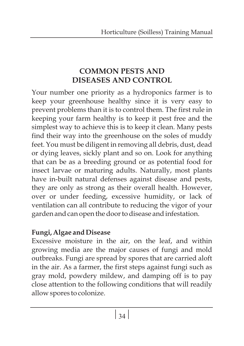# **COMMON PESTS AND DISEASES AND CONTROL**

Your number one priority as a hydroponics farmer is to keep your greenhouse healthy since it is very easy to prevent problems than it is to control them. The first rule in keeping your farm healthy is to keep it pest free and the simplest way to achieve this is to keep it clean. Many pests find their way into the greenhouse on the soles of muddy feet. You must be diligent in removing all debris, dust, dead or dying leaves, sickly plant and so on. Look for anything that can be as a breeding ground or as potential food for insect larvae or maturing adults. Naturally, most plants have in-built natural defenses against disease and pests, they are only as strong as their overall health. However, over or under feeding, excessive humidity, or lack of ventilation can all contribute to reducing the vigor of your garden and can open the door to disease and infestation.

## **Fungi, Algae and Disease**

Excessive moisture in the air, on the leaf, and within growing media are the major causes of fungi and mold outbreaks. Fungi are spread by spores that are carried aloft in the air. As a farmer, the first steps against fungi such as gray mold, powdery mildew, and damping off is to pay close attention to the following conditions that will readily allow spores to colonize.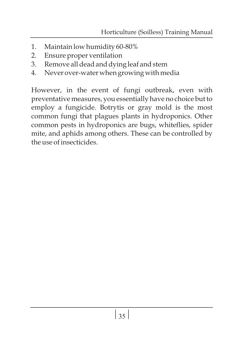- 1. Maintain low humidity 60-80%
- 2. Ensure proper ventilation
- 3. Remove all dead and dying leaf and stem
- 4. Never over-water when growing with media

However, in the event of fungi outbreak, even with preventative measures, you essentially have no choice but to employ a fungicide. Botrytis or gray mold is the most common fungi that plagues plants in hydroponics. Other common pests in hydroponics are bugs, whiteflies, spider mite, and aphids among others. These can be controlled by the use of insecticides.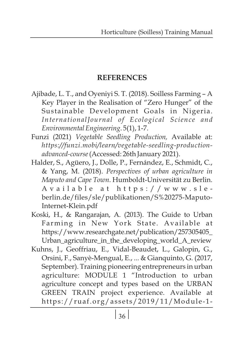# **REFERENCES**

- Ajibade, L. T., and Oyeniyi S. T. (2018). Soilless Farming A Key Player in the Realisation of "Zero Hunger" of the Sustainable Development Goals in Nigeria. *InternationalJournal of Ecological Science and Environmental Engineering*. 5(1), 1-7.
- Funzi (2021) *Vegetable Seedling Production,* Available at: *https://funzi.mobi/learn/vegetable-seedling-productionadvanced-course*(Accessed: 26th January 2021).
- Halder, S., Agüero, J., Dolle, P., Fernández, E., Schmidt, C., & Yang, M. (2018). *Perspectives of urban agriculture in Maputo and Cape Town*. Humboldt-Universität zu Berlin. A v a i l a b l e a t h t t p s : / / w w w . s l e berlin.de/files/sle/publikationen/S%20275-Maputo-Internet-Klein.pdf
- Koski, H., & Rangarajan, A. (2013). The Guide to Urban Farming in New York State. Available at https://www.researchgate.net/publication/257305405\_ Urban\_agriculture\_in\_the\_developing\_world\_A\_review
- Kuhns, J., Geoffriau, E., Vidal-Beaudet, L., Galopin, G., Orsini, F., Sanyè-Mengual, E., ... & Gianquinto, G. (2017, September). Training pioneering entrepreneurs in urban agriculture: MODULE 1 "Introduction to urban agriculture concept and types based on the URBAN GREEN TRAIN project experience. Available at https://ruaf.org/assets/2019/11/Module-1-